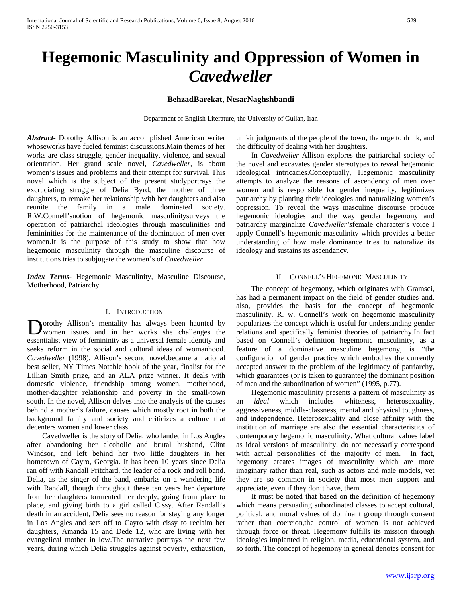# **Hegemonic Masculinity and Oppression of Women in**  *Cavedweller*

## **BehzadBarekat, NesarNaghshbandi**

Department of English Literature, the University of Guilan, Iran

*Abstract***-** Dorothy Allison is an accomplished American writer whoseworks have fueled feminist discussions.Main themes of her works are class struggle, gender inequality, violence, and sexual orientation. Her grand scale novel, *Cavedweller*, is about women's issues and problems and their attempt for survival. This novel which is the subject of the present studyportrays the excruciating struggle of Delia Byrd, the mother of three daughters, to remake her relationship with her daughters and also reunite the family in a male dominated society. R.W.Connell'snotion of hegemonic masculinitysurveys the operation of patriarchal ideologies through masculinities and femininities for the maintenance of the domination of men over women.It is the purpose of this study to show that how hegemonic masculinity through the masculine discourse of institutions tries to subjugate the women's of *Cavedweller*.

*Index Terms*- Hegemonic Masculinity, Masculine Discourse, Motherhood, Patriarchy

#### I. INTRODUCTION

orothy Allison's mentality has always been haunted by women issues and in her works she challenges the **D**orothy Allison's mentality has always been haunted by women issues and in her works she challenges the essentialist view of femininity as a universal female identity and seeks reform in the social and cultural ideas of womanhood. *Cavedweller* (1998), Allison's second novel,became a national best seller, NY Times Notable book of the year, finalist for the Lillian Smith prize, and an ALA prize winner. It deals with domestic violence, friendship among women, motherhood, mother-daughter relationship and poverty in the small-town south. In the novel, Allison delves into the analysis of the causes behind a mother's failure, causes which mostly root in both the background family and society and criticizes a culture that decenters women and lower class.

 Cavedweller is the story of Delia, who landed in Los Angles after abandoning her alcoholic and brutal husband, Clint Windsor, and left behind her two little daughters in her hometown of Cayro, Georgia. It has been 10 years since Delia ran off with Randall Pritchard, the leader of a rock and roll band. Delia, as the singer of the band, embarks on a wandering life with Randall, though throughout these ten years her departure from her daughters tormented her deeply, going from place to place, and giving birth to a girl called Cissy. After Randall's death in an accident, Delia sees no reason for staying any longer in Los Angles and sets off to Cayro with cissy to reclaim her daughters, Amanda 15 and Dede 12, who are living with her evangelical mother in low.The narrative portrays the next few years, during which Delia struggles against poverty, exhaustion,

unfair judgments of the people of the town, the urge to drink, and the difficulty of dealing with her daughters.

 In *Cavedweller* Allison explores the patriarchal society of the novel and excavates gender stereotypes to reveal hegemonic ideological intricacies.Conceptually, Hegemonic masculinity attempts to analyze the reasons of ascendency of men over women and is responsible for gender inequality, legitimizes patriarchy by planting their ideologies and naturalizing women's oppression. To reveal the ways masculine discourse produce hegemonic ideologies and the way gender hegemony and patriarchy marginalize *Cavedweller's*female character's voice I apply Connell's hegemonic masculinity which provides a better understanding of how male dominance tries to naturalize its ideology and sustains its ascendancy.

#### II. CONNELL'S HEGEMONIC MASCULINITY

 The concept of hegemony, which originates with Gramsci, has had a permanent impact on the field of gender studies and, also, provides the basis for the concept of hegemonic masculinity. R. w. Connell's work on hegemonic masculinity popularizes the concept which is useful for understanding gender relations and specifically feminist theories of patriarchy.In fact based on Connell's definition hegemonic masculinity, as a feature of a dominative masculine hegemony, is "the configuration of gender practice which embodies the currently accepted answer to the problem of the legitimacy of patriarchy, which guarantees (or is taken to guarantee) the dominant position of men and the subordination of women" (1995, p.77).

 Hegemonic masculinity presents a pattern of masculinity as an *ideal* which includes whiteness, heterosexuality, aggressiveness, middle-classness, mental and physical toughness, and independence. Heterosexuality and close affinity with the institution of marriage are also the essential characteristics of contemporary hegemonic masculinity. What cultural values label as ideal versions of masculinity, do not necessarily correspond with actual personalities of the majority of men. In fact, hegemony creates images of masculinity which are more imaginary rather than real, such as actors and male models, yet they are so common in society that most men support and appreciate, even if they don't have, them.

 It must be noted that based on the definition of hegemony which means persuading subordinated classes to accept cultural, political, and moral values of dominant group through consent rather than coercion,the control of women is not achieved through force or threat. Hegemony fulfills its mission through ideologies implanted in religion, media, educational system, and so forth. The concept of hegemony in general denotes consent for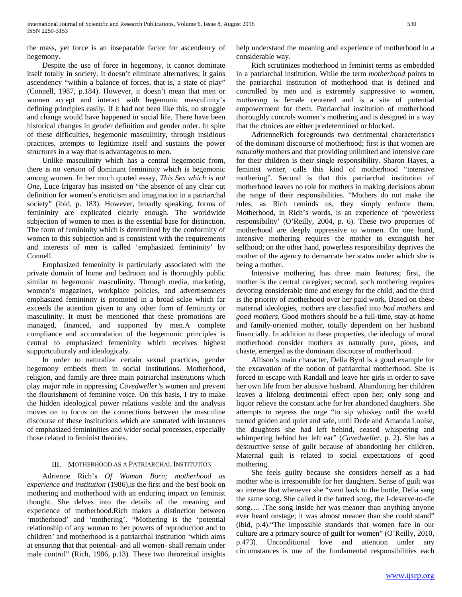the mass, yet force is an inseparable factor for ascendency of hegemony.

 Despite the use of force in hegemony, it cannot dominate itself totally in society. It doesn't eliminate alternatives; it gains ascendency "within a balance of forces, that is, a state of play" (Connell, 1987, p.184). However, it doesn't mean that men or women accept and interact with hegemonic masculinity's defining principles easily. If it had not been like this, no struggle and change would have happened in social life. There have been historical changes in gender definition and gender order. In spite of these difficulties, hegemonic masculinity, through insidious practices, attempts to legitimize itself and sustains the power structures in a way that is advantageous to men.

 Unlike masculinity which has a central hegemonic from, there is no version of dominant femininity which is hegemonic among women. In her much quoted essay, *This Sex which is not One*, Luce Irigaray has insisted on "the absence of any clear cut definition for women's eroticism and imagination in a patriarchal society" (ibid, p. 183). However, broadly speaking, forms of femininity are explicated clearly enough. The worldwide subjection of women to men is the essential base for distinction. The form of femininity which is determined by the conformity of women to this subjection and is consistent with the requirements and interests of men is called 'emphasized femininity' by Connell.

 Emphasized femeninity is particularly associated with the private domain of home and bedroom and is thoroughly public similar to hegemonic masculinity. Through media, marketing, women's magazines, workplace policies, and advertisemnets emphasized femininity is promoted in a broad sclae which far exceeds the attention given to any other form of femininty or masculinity. It must be mentioned that these promotions are managed, financed, and supported by men.A complete compliance and accomodation of the hegemonic principles is central to emphasized femeninity which receives highest supportculturaly and ideologicaly.

 In order to naturalize certain sexual practices, gender hegemony embeds them in social institutions. Motherhood, religion, and family are three main patriarchal institutions which play major role in oppressing *Cavedweller'*s women and prevent the flourishment of feminine voice. On this basis, I try to make the hidden ideological power relations visible and the analysis moves on to focus on the connections between the masculine discourse of these institutions which are saturated with instances of emphasized femininities and wider social processes, especially those related to feminist theories.

## III. MOTHERHOOD AS A PATRIARCHAL INSTITUTION

 Adrienne Rich's *Of Woman Born; motherhood as experience and institution* (1986),is the first and the best book on mothering and motherhood with an enduring impact on feminist thought. She delves into the details of the meaning and experience of motherhood.Rich makes a distinction between 'motherhood' and 'mothering'. "Mothering is the 'potential relationship of any woman to her powers of reproduction and to children' and motherhood is a patriarchal institution 'which aims at ensuring that that potential- and all women- shall remain under male control" (Rich, 1986, p.13). These two theoretical insights help understand the meaning and experience of motherhood in a considerable way.

 Rich scrutinizes motherhood in feminist terms as embedded in a patriarchal institution. While the term *motherhood* points to the patriarchal institution of motherhood that is defined and controlled by men and is extremely suppressive to women, *mothering* is female centered and is a site of potential empowerment for them. Patriarchal institution of motherhood thoroughly controls women's mothering and is designed in a way that the choices are either predetermined or blocked.

 AdrienneRich foregrounds two detrimental characteristics of the dominant discourse of motherhood; first is that women are *naturally* mothers and that providing unlimited and intensive care for their children is their single responsibility. Sharon Hayes, a feminist writer, calls this kind of motherhood "intensive mothering". Second is that this patriarchal institution of motherhood leaves no role for mothers in making decisions about the range of their responsibilities. "Mothers do not make the rules, as Rich reminds us, they simply enforce them. Motherhood, in Rich's words, is an experience of 'powerless responsibility' (O'Reilly, 2004, p. 6). These two properties of motherhood are deeply oppressive to women. On one hand, intensive mothering requires the mother to extinguish her selfhood; on the other hand, powerless responsibility deprives the mother of the agency to demarcate her status under which she is being a mother.

 Intensive mothering has three main features; first, the mother is the central caregiver; second, such mothering requires devoting considerable time and energy for the child; and the third is the priority of motherhood over her paid work. Based on these maternal ideologies, mothers are classified into *bad mothers* and *good mothers*. Good mothers should be a full-time, stay-at-home and family-oriented mother, totally dependent on her husband financially. In addition to these properties, the ideology of moral motherhood consider mothers as naturally pure, pious, and chaste, emerged as the dominant discourse of motherhood.

 Allison's main character, Delia Byrd is a good example for the excavation of the notion of patriarchal motherhood. She is forced to escape with Randall and leave her girls in order to save her own life from her abusive husband. Abandoning her children leaves a lifelong detrimental effect upon her; only song and liquor relieve the constant ache for her abandoned daughters. She attempts to repress the urge "to sip whiskey until the world turned golden and quiet and safe, until Dede and Amanda Louise, the daughters she had left behind, ceased whispering and whimpering behind her left ear" (*Cavedweller*, p. 2). She has a destructive sense of guilt because of abandoning her children. Maternal guilt is related to social expectations of good mothering.

 She feels guilty because she considers herself as a bad mother who is irresponsible for her daughters. Sense of guilt was so intense that whenever she "went back to the bottle, Delia sang the same song. She called it the hatred song, the I-deserve-to-die song…. .The song inside her was meaner than anything anyone ever heard onstage; it was almost meaner than she could stand" (ibid, p.4)."The impossible standards that women face in our culture are a primary source of guilt for women" (O'Reilly, 2010, p.473). Unconditional love and attention under any circumstances is one of the fundamental responsibilities each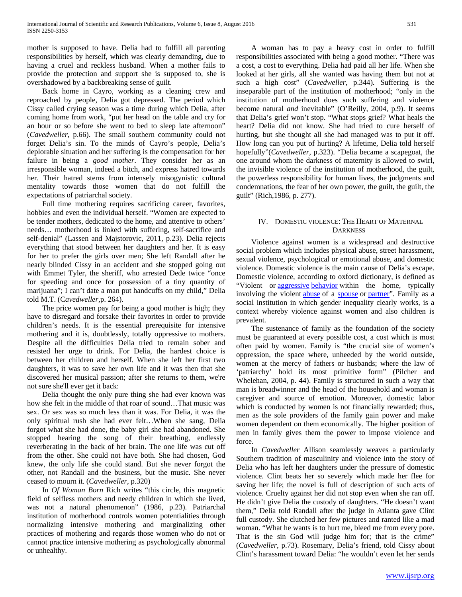mother is supposed to have. Delia had to fulfill all parenting responsibilities by herself, which was clearly demanding, due to having a cruel and reckless husband. When a mother fails to provide the protection and support she is supposed to, she is overshadowed by a backbreaking sense of guilt.

 Back home in Cayro, working as a cleaning crew and reproached by people, Delia got depressed. The period which Cissy called crying season was a time during which Delia, after coming home from work, "put her head on the table and cry for an hour or so before she went to bed to sleep late afternoon" (*Cavedweller*, p.66). The small southern community could not forget Delia's sin. To the minds of Cayro's people, Delia's deplorable situation and her suffering is the compensation for her failure in being a *good mother*. They consider her as an irresponsible woman, indeed a bitch, and express hatred towards her. Their hatred stems from intensely misogynistic cultural mentality towards those women that do not fulfill the expectations of patriarchal society.

 Full time mothering requires sacrificing career, favorites, hobbies and even the individual herself. "Women are expected to be tender mothers, dedicated to the home, and attentive to others' needs… motherhood is linked with suffering, self-sacrifice and self-denial" (Lassen and Majstorovic, 2011, p.23). Delia rejects everything that stood between her daughters and her. It is easy for her to prefer the girls over men; She left Randall after he nearly blinded Cissy in an accident and she stopped going out with Emmet Tyler, the sheriff, who arrested Dede twice "once for speeding and once for possession of a tiny quantity of marijuana"; I can't date a man put handcuffs on my child," Delia told M.T. (C*avedweller*,p. 264).

 The price women pay for being a good mother is high; they have to disregard and forsake their favorites in order to provide children's needs. It is the essential prerequisite for intensive mothering and it is, doubtlessly, totally oppressive to mothers. Despite all the difficulties Delia tried to remain sober and resisted her urge to drink. For Delia, the hardest choice is between her children and herself. When she left her first two daughters, it was to save her own life and it was then that she discovered her musical passion; after she returns to them, we're not sure she'll ever get it back:

 Delia thought the only pure thing she had ever known was how she felt in the middle of that roar of sound…That music was sex. Or sex was so much less than it was. For Delia, it was the only spiritual rush she had ever felt…When she sang, Delia forgot what she had done, the baby girl she had abandoned. She stopped hearing the song of their breathing, endlessly reverberating in the back of her brain. The one life was cut off from the other. She could not have both. She had chosen, God knew, the only life she could stand. But she never forgot the other, not Randall and the business, but the music. She never ceased to mourn it. (*Cavedweller*, p.320)

 In *Of Woman Born* Rich writes "this circle, this magnetic field of selfless mothers and needy children in which she lived, was not a natural phenomenon" (1986, p.23). Patriarchal institution of motherhood controls women potentialities through normalizing intensive mothering and marginalizing other practices of mothering and regards those women who do not or cannot practice intensive mothering as psychologically abnormal or unhealthy.

 A woman has to pay a heavy cost in order to fulfill responsibilities associated with being a good mother. "There was a cost, a cost to everything. Delia had paid all her life. When she looked at her girls, all she wanted was having them but not at such a high cost" (*Cavedweller*, p.344). Suffering is the inseparable part of the institution of motherhood; "only in the institution of motherhood does such suffering and violence become natural *and* inevitable" (O'Reilly, 2004, p.9). It seems that Delia's grief won't stop. "What stops grief? What heals the heart? Delia did not know. She had tried to cure herself of hurting, but she thought all she had managed was to put it off. How long can you put of hurting? A lifetime, Delia told herself hopefully"(*Cavedweller*, p.323). "Delia became a scapegoat, the one around whom the darkness of maternity is allowed to swirl, the invisible violence of the institution of motherhood, the guilt, the powerless responsibility for human lives, the judgments and condemnations, the fear of her own power, the guilt, the guilt, the guilt" (Rich,1986, p. 277).

## IV. DOMESTIC VIOLENCE: THE HEART OF MATERNAL **DARKNESS**

 Violence against women is a widespread and destructive social problem which includes physical abuse, street harassment, sexual violence, psychological or emotional abuse, and domestic violence. Domestic violence is the main cause of Delia's escape. Domestic violence, according to oxford dictionary, is defined as "Violent or **[aggressive](http://www.oxforddictionaries.com/definition/english/aggressive#aggressive__2) [behavior](http://www.oxforddictionaries.com/definition/english/behaviour#behaviour__2)** within the home, typically involving the violent [abuse](http://www.oxforddictionaries.com/definition/english/abuse#abuse__19) of a [spouse](http://www.oxforddictionaries.com/definition/english/spouse#spouse__2) or [partner"](http://www.oxforddictionaries.com/definition/english/partner#partner__2). Family as a social institution in which gender inequality clearly works, is a context whereby violence against women and also children is prevalent.

 The sustenance of family as the foundation of the society must be guaranteed at every possible cost, a cost which is most often paid by women. Family is "the crucial site of women's oppression, the space where, unheeded by the world outside, women at the mercy of fathers or husbands; where the law of 'patriarchy' hold its most primitive form" (Pilcher and Whelehan, 2004, p. 44). Family is structured in such a way that man is breadwinner and the head of the household and woman is caregiver and source of emotion. Moreover, domestic labor which is conducted by women is not financially rewarded; thus, men as the sole providers of the family gain power and make women dependent on them economically. The higher position of men in family gives them the power to impose violence and force.

 In *Cavedweller* Allison seamlessly weaves a particularly Southern tradition of masculinity and violence into the story of Delia who has left her daughters under the pressure of domestic violence. Clint beats her so severely which made her flee for saving her life; the novel is full of description of such acts of violence. Cruelty against her did not stop even when she ran off. He didn't give Delia the custody of daughters. "He doesn't want them," Delia told Randall after the judge in Atlanta gave Clint full custody. She clutched her few pictures and ranted like a mad woman. "What he wants is to hurt me, bleed me from every pore. That is the sin God will judge him for; that is the crime" (*Cavedweller*, p.73). Rosemary, Delia's friend, told Cissy about Clint's harassment toward Delia: "he wouldn't even let her sends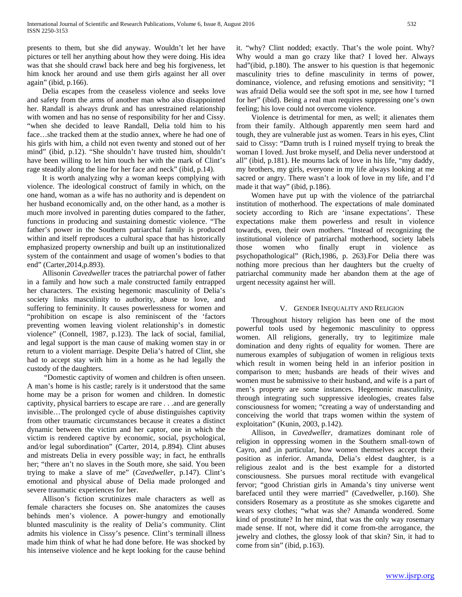presents to them, but she did anyway. Wouldn't let her have pictures or tell her anything about how they were doing. His idea was that she should crawl back here and beg his forgiveness, let him knock her around and use them girls against her all over again" (ibid, p.166).

 Delia escapes from the ceaseless violence and seeks love and safety from the arms of another man who also disappointed her. Randall is always drunk and has unrestrained relationship with women and has no sense of responsibility for her and Cissy. "when she decided to leave Randall, Delia told him to his face…she tracked them at the studio annex, where he had one of his girls with him, a child not even twenty and stoned out of her mind" (ibid, p.12). "She shouldn't have trusted him, shouldn't have been willing to let him touch her with the mark of Clint's rage steadily along the line for her face and neck" (ibid, p.14).

 It is worth analyzing why a woman keeps complying with violence. The ideological construct of family in which, on the one hand, woman as a wife has no authority and is dependent on her husband economically and, on the other hand, as a mother is much more involved in parenting duties compared to the father, functions in producing and sustaining domestic violence. "The father's power in the Southern patriarchal family is produced within and itself reproduces a cultural space that has historically emphasized property ownership and built up an institutionalized system of the containment and usage of women's bodies to that end" (Carter,2014,p.893).

 Allisonin *Cavedweller* traces the patriarchal power of father in a family and how such a male constructed family entrapped her characters. The existing hegemonic masculinity of Delia's society links masculinity to authority, abuse to love, and suffering to femininity. It causes powerlessness for women and "prohibition on escape is also reminiscent of the 'factors preventing women leaving violent relationship's in domestic violence" (Connell, 1987, p.123). The lack of social, familial, and legal support is the man cause of making women stay in or return to a violent marriage. Despite Delia's hatred of Clint, she had to accept stay with him in a home as he had legally the custody of the daughters.

 "Domestic captivity of women and children is often unseen. A man's home is his castle; rarely is it understood that the same home may be a prison for women and children. In domestic captivity, physical barriers to escape are rare *. . .*and are generally invisible…The prolonged cycle of abuse distinguishes captivity from other traumatic circumstances because it creates a distinct dynamic between the victim and her captor, one in which the victim is rendered captive by economic, social, psychological, and*/*or legal subordination" (Carter, 2014, p.894). Clint abuses and mistreats Delia in every possible way; in fact, he enthralls her; "there an't no slaves in the South more, she said. You been trying to make a slave of me" (*Cavedweller*, p.147). Clint's emotional and physical abuse of Delia made prolonged and severe traumatic experiences for her.

 Allison's fiction scrutinizes male characters as well as female characters she focuses on. She anatomizes the causes behinds men's violence. A power-hungry and emotionally blunted masculinity is the reality of Delia's community. Clint admits his violence in Cissy's pesence. Clint's terminall illness made him think of what he had done before. He was shocked by his intenseive violence and he kept looking for the cause behind

it. "why? Clint nodded; exactly. That's the wole point. Why? Why would a man go crazy like that? I loved her. Always had"(ibid, p.180). The answer to his question is that hegemonic masculinity tries to define masculinity in terms of power, dominance, violence, and refusing emotions and sensitivity; "I was afraid Delia would see the soft spot in me, see how I turned for her" (ibid). Being a real man requires suppressing one's own feeling; his love could not overcome violence.

 Violence is detrimental for men, as well; it alienates them from their family. Although apparently men seem hard and tough, they are vulnerable just as women. Tears in his eyes, Clint said to Cissy: "Damn truth is I ruined myself trying to break the woman I loved. Just broke myself, and Delia never understood at all" (ibid, p.181). He mourns lack of love in his life, "my daddy, my brothers, my girls, everyone in my life always looking at me sacred or angry. There wasn't a look of love in my life, and I'd made it that way" (ibid, p.186).

 Women have put up with the violence of the patriarchal institution of motherhood. The expectations of male dominated society according to Rich are 'insane expectations'. These expectations make them powerless and result in violence towards, even, their own mothers. "Instead of recognizing the institutional violence of patriarchal motherhood, society labels those women who finally erupt in violence as psychopathological" (Rich,1986, p. 263).For Delia there was nothing more precious than her daughters but the cruelty of patriarchal community made her abandon them at the age of urgent necessity against her will.

### V. GENDER INEQUALITY AND RELIGION

 Throughout history religion has been one of the most powerful tools used by hegemonic masculinity to oppress women. All religions, generally, try to legitimize male domination and deny rights of equality for women. There are numerous examples of subjugation of women in religious texts which result in women being held in an inferior position in comparison to men; husbands are heads of their wives and women must be submissive to their husband, and wife is a part of men's property are some instances. Hegemonic masculinity, through integrating such suppressive ideologies, creates false consciousness for women; "creating a way of understanding and conceiving the world that traps women within the system of exploitation" (Kunin, 2003, p.142).

 Allison, in *Cavedweller*, dramatizes dominant role of religion in oppressing women in the Southern small-town of Cayro, and ,in particular, how women themselves accept their position as inferior. Amanda, Delia's eldest daughter, is a religious zealot and is the best example for a distorted consciousness. She pursues moral rectitude with evangelical fervor; "good Christian girls in Amanda's tiny universe went barefaced until they were married" (Cavedweller, p.160). She considers Rosemary as a prostitute as she smokes cigarette and wears sexy clothes; "what was she? Amanda wondered. Some kind of prostitute? In her mind, that was the only way rosemary made sense. If not, where did it come from-the arrogance, the jewelry and clothes, the glossy look of that skin? Sin, it had to come from sin" (ibid, p.163).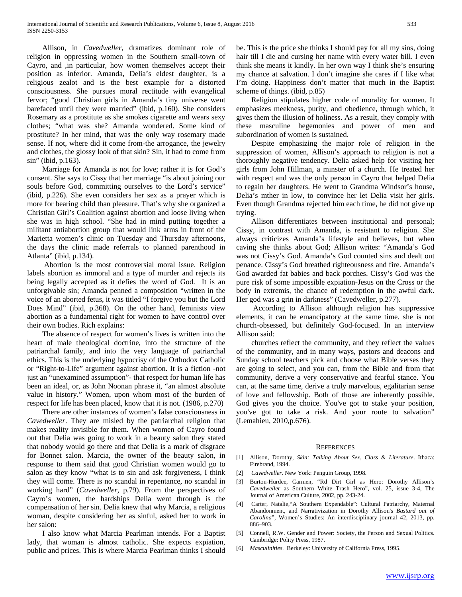Allison, in *Cavedweller*, dramatizes dominant role of religion in oppressing women in the Southern small-town of Cayro, and ,in particular, how women themselves accept their position as inferior. Amanda, Delia's eldest daughter, is a religious zealot and is the best example for a distorted consciousness. She pursues moral rectitude with evangelical fervor; "good Christian girls in Amanda's tiny universe went barefaced until they were married" (ibid, p.160). She considers Rosemary as a prostitute as she smokes cigarette and wears sexy clothes; "what was she? Amanda wondered. Some kind of prostitute? In her mind, that was the only way rosemary made sense. If not, where did it come from-the arrogance, the jewelry and clothes, the glossy look of that skin? Sin, it had to come from sin" (ibid, p.163).

 Marriage for Amanda is not for love; rather it is for God's consent. She says to Cissy that her marriage "is about joining our souls before God, committing ourselves to the Lord's service" (ibid, p.226). She even considers her sex as a prayer which is more for bearing child than pleasure. That's why she organized a Christian Girl's Coalition against abortion and loose living when she was in high school. "She had in mind putting together a militant antiabortion group that would link arms in front of the Marietta women's clinic on Tuesday and Thursday afternoons, the days the clinic made referrals to planned parenthood in Atlanta" (ibid, p.134).

 Abortion is the most controversial moral issue. Religion labels abortion as immoral and a type of murder and rejects its being legally accepted as it defies the word of God. It is an unforgivable sin; Amanda penned a composition "written in the voice of an aborted fetus, it was titled "I forgive you but the Lord Does Mind" (ibid, p.368). On the other hand, feminists view abortion as a fundamental right for women to have control over their own bodies. Rich explains:

 The absence of respect for women's lives is written into the heart of male theological doctrine, into the structure of the patriarchal family, and into the very language of patriarchal ethics. This is the underlying hypocrisy of the Orthodox Catholic or "Right-to-Life" argument against abortion. It is a fiction -not just an "unexamined assumption"- that respect for human life has been an ideal, or, as John Noonan phrase it, "an almost absolute value in history." Women, upon whom most of the burden of respect for life has been placed, know that it is not. (1986, p.270)

 There are other instances of women's false consciousness in *Cavedweller*. They are misled by the patriarchal religion that makes reality invisible for them. When women of Cayro found out that Delia was going to work in a beauty salon they stated that nobody would go there and that Delia is a mark of disgrace for Bonnet salon. Marcia, the owner of the beauty salon, in response to them said that good Christian women would go to salon as they know "what is to sin and ask forgiveness, I think they will come. There is no scandal in repentance, no scandal in working hard" (*Cavedweller*, p.79). From the perspectives of Cayro's women, the hardships Delia went through is the compensation of her sin. Delia knew that why Marcia, a religious woman, despite considering her as sinful, asked her to work in her salon:

 I also know what Marcia Pearlman intends. For a Baptist lady, that woman is almost catholic. She expects expiation, public and prices. This is where Marcia Pearlman thinks I should

be. This is the price she thinks I should pay for all my sins, doing hair till I die and cursing her name with every water bill. I even think she means it kindly. In her own way I think she's ensuring my chance at salvation. I don't imagine she cares if I like what I'm doing. Happiness don't matter that much in the Baptist scheme of things. (ibid, p.85)

 Religion stipulates higher code of morality for women. It emphasizes meekness, purity, and obedience, through which, it gives them the illusion of holiness. As a result, they comply with these masculine hegemonies and power of men and subordination of women is sustained.

 Despite emphasizing the major role of religion in the suppression of women, Allison's approach to religion is not a thoroughly negative tendency. Delia asked help for visiting her girls from John Hillman, a minster of a church. He treated her with respect and was the only person in Cayro that helped Delia to regain her daughters. He went to Grandma Windsor's house, Delia's mther in low, to convince her let Delia visit her girls. Even though Grandma rejected him each time, he did not give up trying.

 Allison differentiates between institutional and personal; Cissy, in contrast with Amanda, is resistant to religion. She always criticizes Amanda's lifestyle and believes, but when caving she thinks about God; Allison writes: "Amanda's God was not Cissy's God. Amanda's God counted sins and dealt out penance. Cissy's God breathed righteousness and fire. Amanda's God awarded fat babies and back porches. Cissy's God was the pure risk of some impossible expiation-Jesus on the Cross or the body in extremis, the chance of redemption in the awful dark. Her god was a grin in darkness" (Cavedweller, p.277).

 According to Allison although religion has suppressive elements, it can be emancipatory at the same time. she is not church-obsessed, but definitely God-focused. In an interview Allison said:

 churches reflect the community, and they reflect the values of the community, and in many ways, pastors and deacons and Sunday school teachers pick and choose what Bible verses they are going to select, and you can, from the Bible and from that community, derive a very conservative and fearful stance. You can, at the same time, derive a truly marvelous, egalitarian sense of love and fellowship. Both of those are inherently possible. God gives you the choice. You've got to stake your position, you've got to take a risk. And your route to salvation" (Lemahieu, 2010,p.676).

#### **REFERENCES**

- [1] Allison, Dorothy, *Skin: Talking About Sex, Class & Literature*. Ithaca: Firebrand, 1994.
- [2] *Cavedweller.* New York: Penguin Group, 1998.
- [3] Burton-Hurdee, Carmen, "Rd Dirt Girl as Hero: Dorothy Allison's *Cavedweller* as Southern White Trash Hero", vol. 25, issue 3-4, The Journal of American Culture, 2002, pp. 243-24.
- [4] Carter, Natalie,"A Southern Expendable": Cultural Patriarchy, Maternal Abandonment, and Narrativization in Dorothy Allison's *Bastard out of Carolina*", Women's Studies: An interdisciplinary journal 42, 2013, pp. 886–903.
- [5] Connell, R.W. Gender and Power: Society, the Person and Sexual Politics. Cambridge: Polity Press, 1987.
- [6] *Masculinities*. Berkeley: University of California Press, 1995.